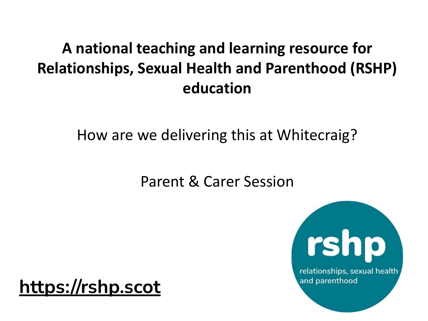#### **A national teaching and learning resource for Relationships, Sexual Health and Parenthood (RSHP) education**

How are we delivering this at Whitecraig?

Parent & Carer Session

**[https://rshp.scot](https://rshp.scot/)**

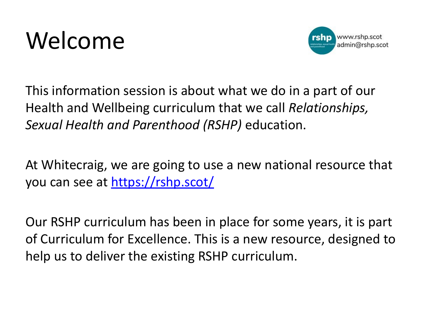



This information session is about what we do in a part of our Health and Wellbeing curriculum that we call *Relationships, Sexual Health and Parenthood (RSHP)* education.

At Whitecraig, we are going to use a new national resource that you can see at <https://rshp.scot/>

Our RSHP curriculum has been in place for some years, it is part of Curriculum for Excellence. This is a new resource, designed to help us to deliver the existing RSHP curriculum.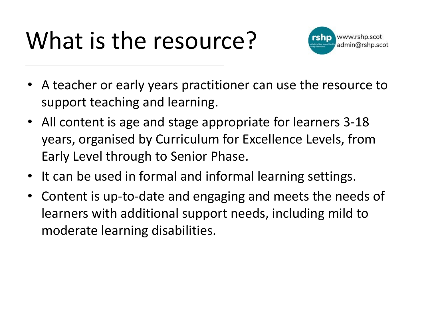## What is the resource?



- A teacher or early years practitioner can use the resource to support teaching and learning.
- All content is age and stage appropriate for learners 3-18 years, organised by Curriculum for Excellence Levels, from Early Level through to Senior Phase.
- It can be used in formal and informal learning settings.
- Content is up-to-date and engaging and meets the needs of learners with additional support needs, including mild to moderate learning disabilities.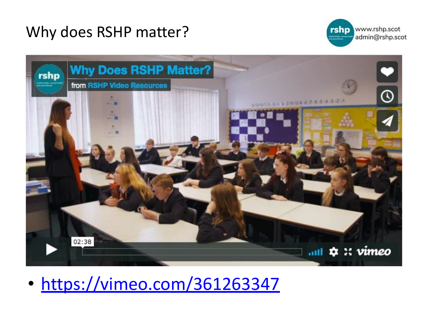#### Why does RSHP matter?





• <https://vimeo.com/361263347>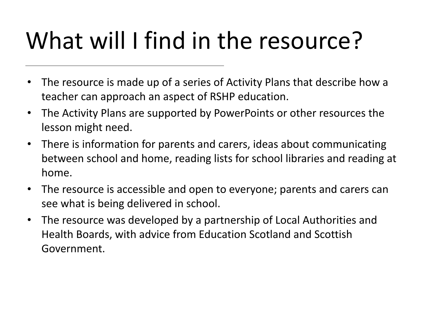## What will I find in the resource?

- The resource is made up of a series of Activity Plans that describe how a teacher can approach an aspect of RSHP education.
- The Activity Plans are supported by PowerPoints or other resources the lesson might need.
- There is information for parents and carers, ideas about communicating between school and home, reading lists for school libraries and reading at home.
- The resource is accessible and open to everyone; parents and carers can see what is being delivered in school.
- The resource was developed by a partnership of Local Authorities and Health Boards, with advice from Education Scotland and Scottish Government.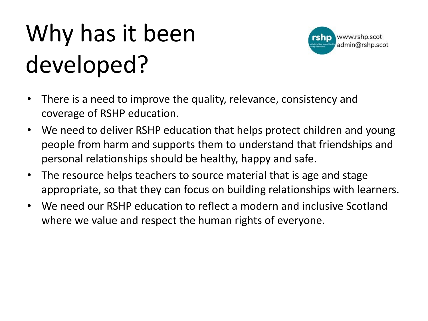# Why has it been developed?



- There is a need to improve the quality, relevance, consistency and coverage of RSHP education.
- We need to deliver RSHP education that helps protect children and young people from harm and supports them to understand that friendships and personal relationships should be healthy, happy and safe.
- The resource helps teachers to source material that is age and stage appropriate, so that they can focus on building relationships with learners.
- We need our RSHP education to reflect a modern and inclusive Scotland where we value and respect the human rights of everyone.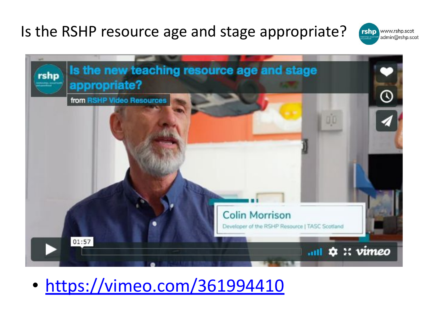#### Is the RSHP resource age and stage appropriate?





• <https://vimeo.com/361994410>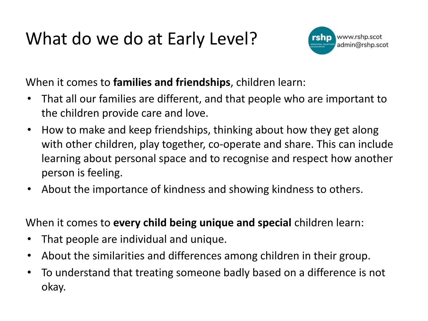### What do we do at Early Level?



When it comes to **families and friendships**, children learn:

- That all our families are different, and that people who are important to the children provide care and love.
- How to make and keep friendships, thinking about how they get along with other children, play together, co-operate and share. This can include learning about personal space and to recognise and respect how another person is feeling.
- About the importance of kindness and showing kindness to others.

When it comes to **every child being unique and special** children learn:

- That people are individual and unique.
- About the similarities and differences among children in their group.
- To understand that treating someone badly based on a difference is not okay.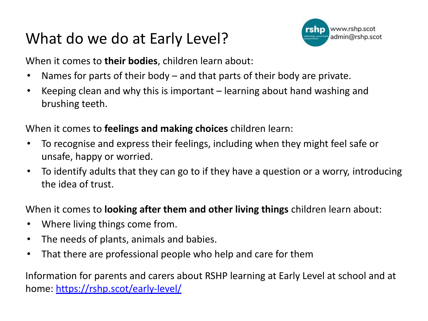#### What do we do at Early Level?



When it comes to **their bodies**, children learn about:

- Names for parts of their body  $-$  and that parts of their body are private.
- Keeping clean and why this is important learning about hand washing and brushing teeth.

When it comes to **feelings and making choices** children learn:

- To recognise and express their feelings, including when they might feel safe or unsafe, happy or worried.
- To identify adults that they can go to if they have a question or a worry, introducing the idea of trust.

When it comes to **looking after them and other living things** children learn about:

- Where living things come from.
- The needs of plants, animals and babies.
- That there are professional people who help and care for them

Information for parents and carers about RSHP learning at Early Level at school and at home: <https://rshp.scot/early-level/>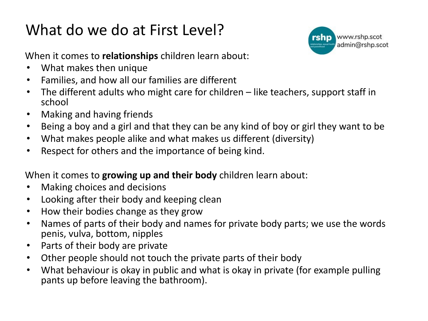#### What do we do at First Level?



When it comes to **relationships** children learn about:

- What makes then unique
- Families, and how all our families are different
- The different adults who might care for children like teachers, support staff in school
- Making and having friends
- Being a boy and a girl and that they can be any kind of boy or girl they want to be
- What makes people alike and what makes us different (diversity)
- Respect for others and the importance of being kind.

#### When it comes to **growing up and their body** children learn about:

- Making choices and decisions
- Looking after their body and keeping clean
- How their bodies change as they grow
- Names of parts of their body and names for private body parts; we use the words penis, vulva, bottom, nipples
- Parts of their body are private
- Other people should not touch the private parts of their body
- What behaviour is okay in public and what is okay in private (for example pulling pants up before leaving the bathroom).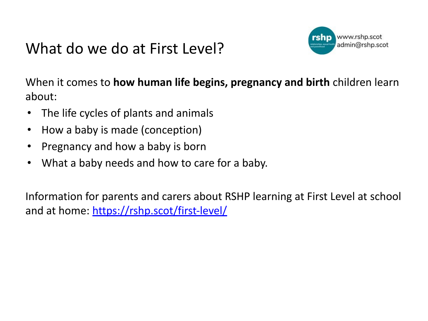#### What do we do at First Level?



When it comes to **how human life begins, pregnancy and birth** children learn about:

- The life cycles of plants and animals
- How a baby is made (conception)
- Pregnancy and how a baby is born
- What a baby needs and how to care for a baby.

Information for parents and carers about RSHP learning at First Level at school and at home:<https://rshp.scot/first-level/>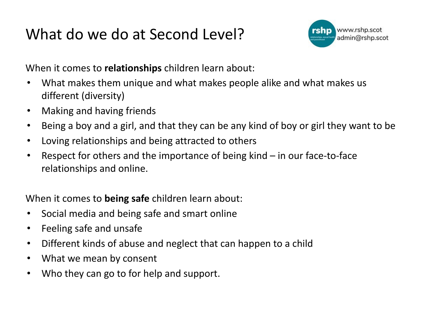#### What do we do at Second Level?



When it comes to **relationships** children learn about:

- What makes them unique and what makes people alike and what makes us different (diversity)
- Making and having friends
- Being a boy and a girl, and that they can be any kind of boy or girl they want to be
- Loving relationships and being attracted to others
- Respect for others and the importance of being kind in our face-to-face relationships and online.

When it comes to **being safe** children learn about:

- Social media and being safe and smart online
- Feeling safe and unsafe
- Different kinds of abuse and neglect that can happen to a child
- What we mean by consent
- Who they can go to for help and support.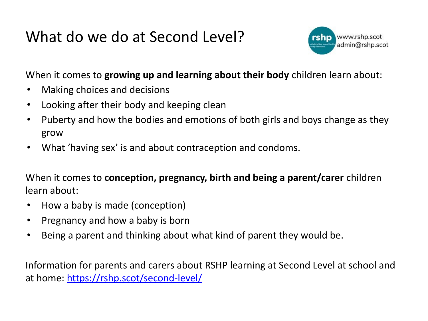#### What do we do at Second Level?



When it comes to **growing up and learning about their body** children learn about:

- Making choices and decisions
- Looking after their body and keeping clean
- Puberty and how the bodies and emotions of both girls and boys change as they grow
- What 'having sex' is and about contraception and condoms.

When it comes to **conception, pregnancy, birth and being a parent/carer** children learn about:

- How a baby is made (conception)
- Pregnancy and how a baby is born
- Being a parent and thinking about what kind of parent they would be.

Information for parents and carers about RSHP learning at Second Level at school and at home:<https://rshp.scot/second-level/>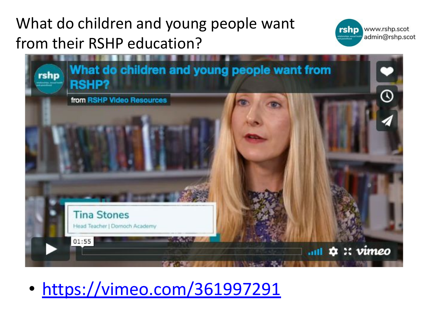#### What do children and young people want from their RSHP education?





• <https://vimeo.com/361997291>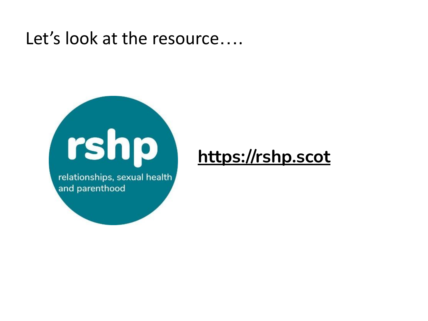#### Let's look at the resource....



relationships, sexual health and parenthood

#### **[https://rshp.scot](https://rshp.scot/)**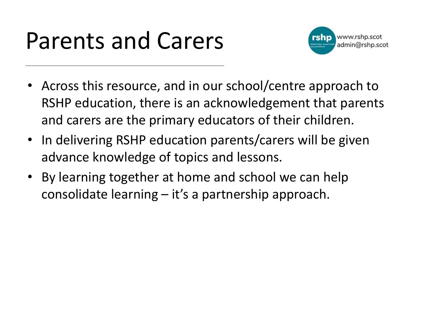### Parents and Carers



- Across this resource, and in our school/centre approach to RSHP education, there is an acknowledgement that parents and carers are the primary educators of their children.
- In delivering RSHP education parents/carers will be given advance knowledge of topics and lessons.
- By learning together at home and school we can help consolidate learning – it's a partnership approach.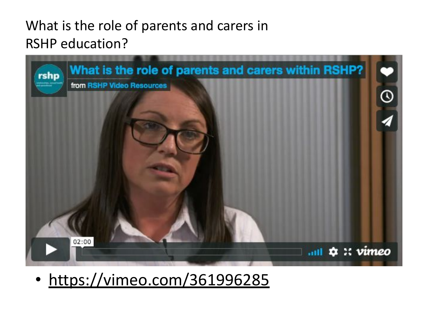#### What is the role of parents and carers in RSHP education?



• <https://vimeo.com/361996285>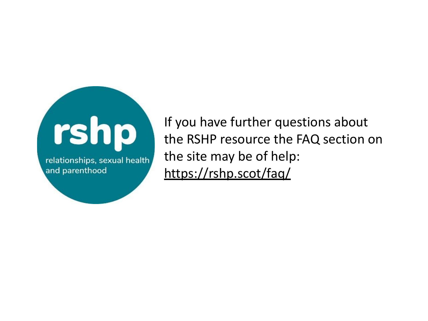

If you have further questions about the RSHP resource the FAQ section on the site may be of help: <https://rshp.scot/faq/>